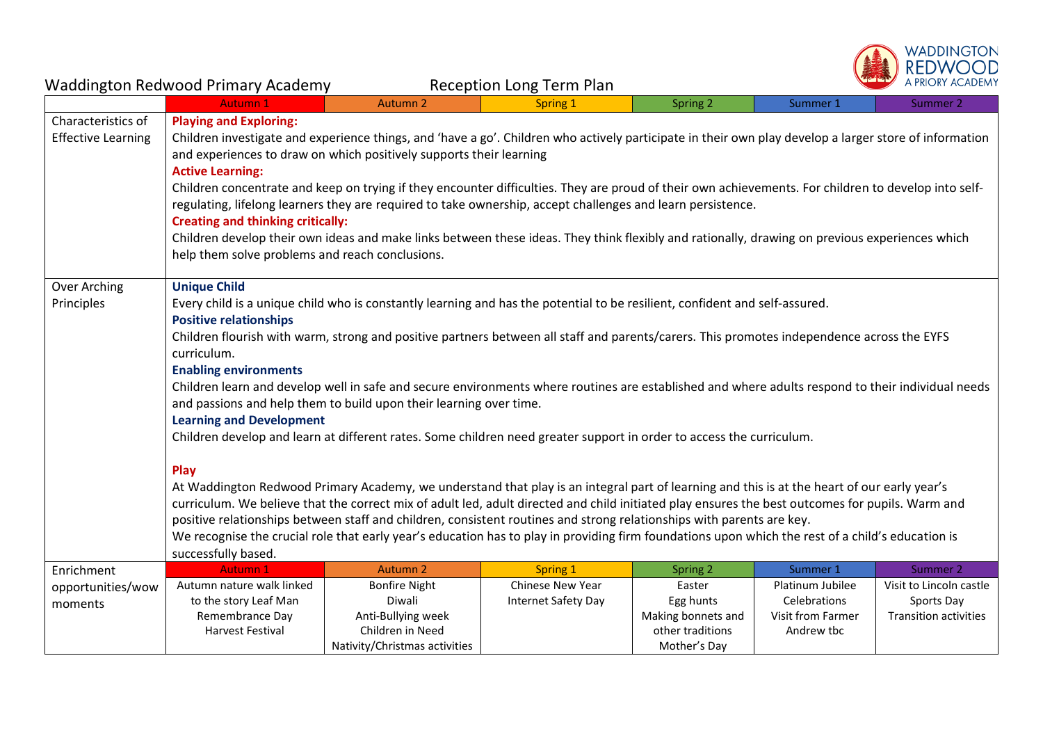

| <b>Waddington Redwood Primary Academy</b><br><b>Reception Long Term Plan</b> |                                                                                                                                                                                                                                                                                                                                                                                                                                                                                                                                                                                                                                                                                                                                                                                                                                                                                                                                                                                                                                                                                                                                                                                                                                                                                                                                                                                        |                               | A PRIORY ACADEMY    |                                 |                                   |                                            |  |
|------------------------------------------------------------------------------|----------------------------------------------------------------------------------------------------------------------------------------------------------------------------------------------------------------------------------------------------------------------------------------------------------------------------------------------------------------------------------------------------------------------------------------------------------------------------------------------------------------------------------------------------------------------------------------------------------------------------------------------------------------------------------------------------------------------------------------------------------------------------------------------------------------------------------------------------------------------------------------------------------------------------------------------------------------------------------------------------------------------------------------------------------------------------------------------------------------------------------------------------------------------------------------------------------------------------------------------------------------------------------------------------------------------------------------------------------------------------------------|-------------------------------|---------------------|---------------------------------|-----------------------------------|--------------------------------------------|--|
|                                                                              | <b>Autumn 1</b>                                                                                                                                                                                                                                                                                                                                                                                                                                                                                                                                                                                                                                                                                                                                                                                                                                                                                                                                                                                                                                                                                                                                                                                                                                                                                                                                                                        | <b>Autumn 2</b>               | Spring 1            | Spring 2                        | Summer 1                          | Summer 2                                   |  |
| Characteristics of<br><b>Effective Learning</b>                              | <b>Playing and Exploring:</b><br>Children investigate and experience things, and 'have a go'. Children who actively participate in their own play develop a larger store of information<br>and experiences to draw on which positively supports their learning<br><b>Active Learning:</b><br>Children concentrate and keep on trying if they encounter difficulties. They are proud of their own achievements. For children to develop into self-<br>regulating, lifelong learners they are required to take ownership, accept challenges and learn persistence.<br><b>Creating and thinking critically:</b><br>Children develop their own ideas and make links between these ideas. They think flexibly and rationally, drawing on previous experiences which<br>help them solve problems and reach conclusions.                                                                                                                                                                                                                                                                                                                                                                                                                                                                                                                                                                      |                               |                     |                                 |                                   |                                            |  |
| Over Arching<br>Principles                                                   | <b>Unique Child</b><br>Every child is a unique child who is constantly learning and has the potential to be resilient, confident and self-assured.<br><b>Positive relationships</b><br>Children flourish with warm, strong and positive partners between all staff and parents/carers. This promotes independence across the EYFS<br>curriculum.<br><b>Enabling environments</b><br>Children learn and develop well in safe and secure environments where routines are established and where adults respond to their individual needs<br>and passions and help them to build upon their learning over time.<br><b>Learning and Development</b><br>Children develop and learn at different rates. Some children need greater support in order to access the curriculum.<br>Play<br>At Waddington Redwood Primary Academy, we understand that play is an integral part of learning and this is at the heart of our early year's<br>curriculum. We believe that the correct mix of adult led, adult directed and child initiated play ensures the best outcomes for pupils. Warm and<br>positive relationships between staff and children, consistent routines and strong relationships with parents are key.<br>We recognise the crucial role that early year's education has to play in providing firm foundations upon which the rest of a child's education is<br>successfully based. |                               |                     |                                 |                                   |                                            |  |
| Enrichment                                                                   | <b>Autumn 1</b>                                                                                                                                                                                                                                                                                                                                                                                                                                                                                                                                                                                                                                                                                                                                                                                                                                                                                                                                                                                                                                                                                                                                                                                                                                                                                                                                                                        | <b>Autumn 2</b>               | Spring 1            | Spring 2                        | Summer 1                          | Summer 2                                   |  |
| opportunities/wow                                                            | Autumn nature walk linked                                                                                                                                                                                                                                                                                                                                                                                                                                                                                                                                                                                                                                                                                                                                                                                                                                                                                                                                                                                                                                                                                                                                                                                                                                                                                                                                                              | <b>Bonfire Night</b>          | Chinese New Year    | Easter                          | Platinum Jubilee                  | Visit to Lincoln castle                    |  |
| moments                                                                      | to the story Leaf Man<br>Remembrance Day                                                                                                                                                                                                                                                                                                                                                                                                                                                                                                                                                                                                                                                                                                                                                                                                                                                                                                                                                                                                                                                                                                                                                                                                                                                                                                                                               | Diwali<br>Anti-Bullying week  | Internet Safety Day | Egg hunts<br>Making bonnets and | Celebrations<br>Visit from Farmer | Sports Day<br><b>Transition activities</b> |  |
|                                                                              | <b>Harvest Festival</b>                                                                                                                                                                                                                                                                                                                                                                                                                                                                                                                                                                                                                                                                                                                                                                                                                                                                                                                                                                                                                                                                                                                                                                                                                                                                                                                                                                | Children in Need              |                     | other traditions                | Andrew tbc                        |                                            |  |
|                                                                              |                                                                                                                                                                                                                                                                                                                                                                                                                                                                                                                                                                                                                                                                                                                                                                                                                                                                                                                                                                                                                                                                                                                                                                                                                                                                                                                                                                                        | Nativity/Christmas activities |                     | Mother's Day                    |                                   |                                            |  |
|                                                                              |                                                                                                                                                                                                                                                                                                                                                                                                                                                                                                                                                                                                                                                                                                                                                                                                                                                                                                                                                                                                                                                                                                                                                                                                                                                                                                                                                                                        |                               |                     |                                 |                                   |                                            |  |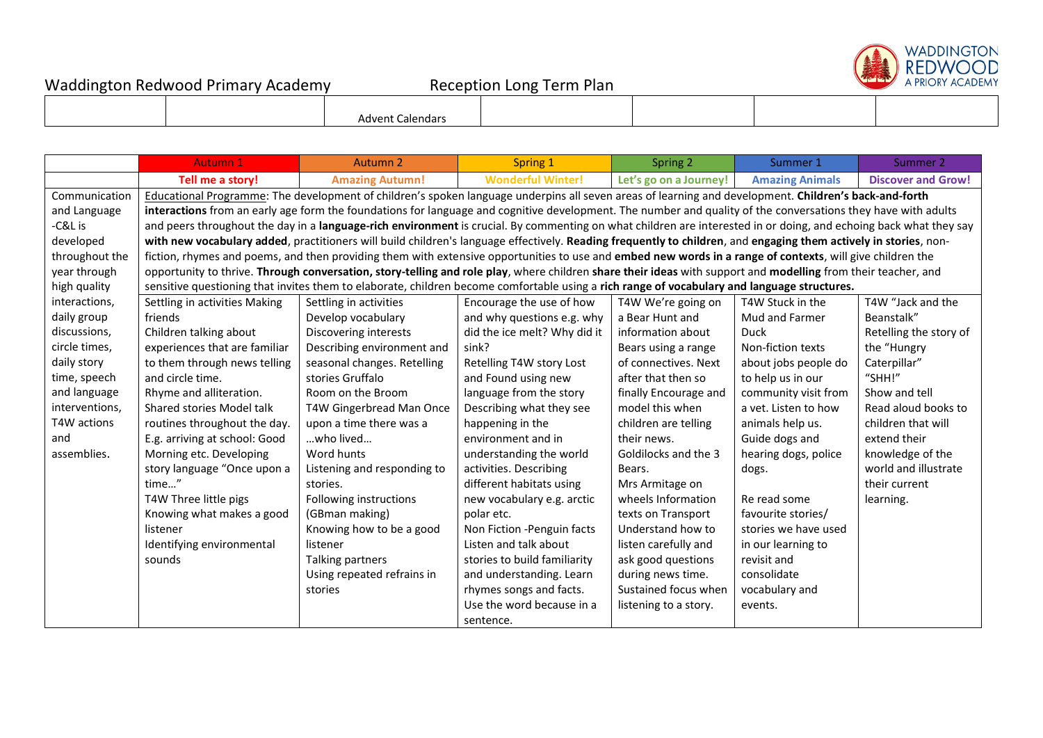

|  | vnv<br>าตละ |  |  |
|--|-------------|--|--|
|  |             |  |  |

|                | <b>Autumn 1</b>                                                                                                                                                   | <b>Autumn 2</b>                                                                                                                                                  | Spring 1                     | Spring 2               | Summer 1               | Summer 2                  |  |  |
|----------------|-------------------------------------------------------------------------------------------------------------------------------------------------------------------|------------------------------------------------------------------------------------------------------------------------------------------------------------------|------------------------------|------------------------|------------------------|---------------------------|--|--|
|                | Tell me a story!                                                                                                                                                  | <b>Amazing Autumn!</b>                                                                                                                                           | <b>Wonderful Winter!</b>     | Let's go on a Journey! | <b>Amazing Animals</b> | <b>Discover and Grow!</b> |  |  |
| Communication  | Educational Programme: The development of children's spoken language underpins all seven areas of learning and development. Children's back-and-forth             |                                                                                                                                                                  |                              |                        |                        |                           |  |  |
| and Language   | interactions from an early age form the foundations for language and cognitive development. The number and quality of the conversations they have with adults     |                                                                                                                                                                  |                              |                        |                        |                           |  |  |
| -C&L is        | and peers throughout the day in a language-rich environment is crucial. By commenting on what children are interested in or doing, and echoing back what they say |                                                                                                                                                                  |                              |                        |                        |                           |  |  |
| developed      |                                                                                                                                                                   | with new vocabulary added, practitioners will build children's language effectively. Reading frequently to children, and engaging them actively in stories, non- |                              |                        |                        |                           |  |  |
| throughout the |                                                                                                                                                                   | fiction, rhymes and poems, and then providing them with extensive opportunities to use and embed new words in a range of contexts, will give children the        |                              |                        |                        |                           |  |  |
| year through   |                                                                                                                                                                   | opportunity to thrive. Through conversation, story-telling and role play, where children share their ideas with support and modelling from their teacher, and    |                              |                        |                        |                           |  |  |
| high quality   |                                                                                                                                                                   | sensitive questioning that invites them to elaborate, children become comfortable using a rich range of vocabulary and language structures.                      |                              |                        |                        |                           |  |  |
| interactions,  | Settling in activities Making                                                                                                                                     | Settling in activities                                                                                                                                           | Encourage the use of how     | T4W We're going on     | T4W Stuck in the       | T4W "Jack and the         |  |  |
| daily group    | friends                                                                                                                                                           | Develop vocabulary                                                                                                                                               | and why questions e.g. why   | a Bear Hunt and        | Mud and Farmer         | Beanstalk"                |  |  |
| discussions,   | Children talking about                                                                                                                                            | Discovering interests                                                                                                                                            | did the ice melt? Why did it | information about      | Duck                   | Retelling the story of    |  |  |
| circle times,  | experiences that are familiar                                                                                                                                     | Describing environment and                                                                                                                                       | sink?                        | Bears using a range    | Non-fiction texts      | the "Hungry               |  |  |
| daily story    | to them through news telling                                                                                                                                      | seasonal changes. Retelling                                                                                                                                      | Retelling T4W story Lost     | of connectives. Next   | about jobs people do   | Caterpillar"              |  |  |
| time, speech   | and circle time.                                                                                                                                                  | stories Gruffalo                                                                                                                                                 | and Found using new          | after that then so     | to help us in our      | "SHH!"                    |  |  |
| and language   | Rhyme and alliteration.                                                                                                                                           | Room on the Broom                                                                                                                                                | language from the story      | finally Encourage and  | community visit from   | Show and tell             |  |  |
| interventions, | Shared stories Model talk                                                                                                                                         | T4W Gingerbread Man Once                                                                                                                                         | Describing what they see     | model this when        | a vet. Listen to how   | Read aloud books to       |  |  |
| T4W actions    | routines throughout the day.                                                                                                                                      | upon a time there was a                                                                                                                                          | happening in the             | children are telling   | animals help us.       | children that will        |  |  |
| and            | E.g. arriving at school: Good                                                                                                                                     | who lived                                                                                                                                                        | environment and in           | their news.            | Guide dogs and         | extend their              |  |  |
| assemblies.    | Morning etc. Developing                                                                                                                                           | Word hunts                                                                                                                                                       | understanding the world      | Goldilocks and the 3   | hearing dogs, police   | knowledge of the          |  |  |
|                | story language "Once upon a                                                                                                                                       | Listening and responding to                                                                                                                                      | activities. Describing       | Bears.                 | dogs.                  | world and illustrate      |  |  |
|                | time"                                                                                                                                                             | stories.                                                                                                                                                         | different habitats using     | Mrs Armitage on        |                        | their current             |  |  |
|                | T4W Three little pigs                                                                                                                                             | Following instructions                                                                                                                                           | new vocabulary e.g. arctic   | wheels Information     | Re read some           | learning.                 |  |  |
|                | Knowing what makes a good                                                                                                                                         | (GBman making)                                                                                                                                                   | polar etc.                   | texts on Transport     | favourite stories/     |                           |  |  |
|                | listener                                                                                                                                                          | Knowing how to be a good                                                                                                                                         | Non Fiction -Penguin facts   | Understand how to      | stories we have used   |                           |  |  |
|                | Identifying environmental                                                                                                                                         | listener                                                                                                                                                         | Listen and talk about        | listen carefully and   | in our learning to     |                           |  |  |
|                | sounds                                                                                                                                                            | Talking partners                                                                                                                                                 | stories to build familiarity | ask good questions     | revisit and            |                           |  |  |
|                |                                                                                                                                                                   | Using repeated refrains in                                                                                                                                       | and understanding. Learn     | during news time.      | consolidate            |                           |  |  |
|                |                                                                                                                                                                   | stories                                                                                                                                                          | rhymes songs and facts.      | Sustained focus when   | vocabulary and         |                           |  |  |
|                |                                                                                                                                                                   |                                                                                                                                                                  | Use the word because in a    | listening to a story.  | events.                |                           |  |  |
|                |                                                                                                                                                                   |                                                                                                                                                                  | sentence.                    |                        |                        |                           |  |  |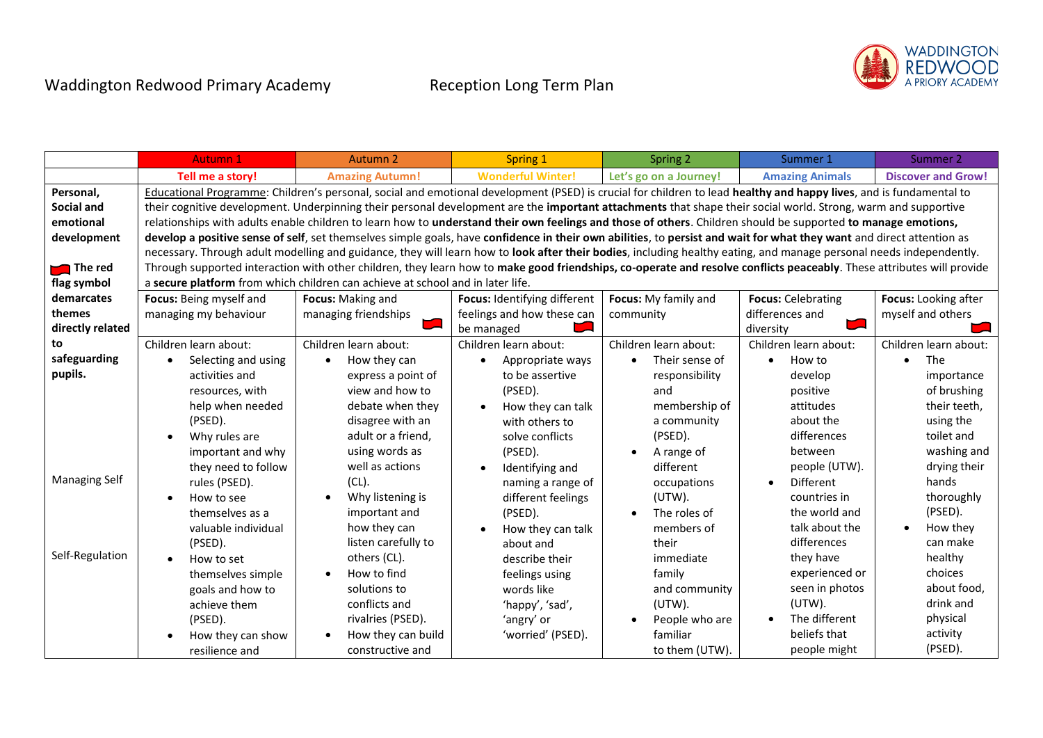

|                      | <b>Autumn 1</b>         | Autumn <sub>2</sub>                                                                                                                                                   | Spring 1                       | Spring 2               | Summer 1                  | Summer 2                  |
|----------------------|-------------------------|-----------------------------------------------------------------------------------------------------------------------------------------------------------------------|--------------------------------|------------------------|---------------------------|---------------------------|
|                      | Tell me a story!        | <b>Amazing Autumn!</b>                                                                                                                                                | <b>Wonderful Winter!</b>       | Let's go on a Journey! | <b>Amazing Animals</b>    | <b>Discover and Grow!</b> |
| Personal,            |                         | Educational Programme: Children's personal, social and emotional development (PSED) is crucial for children to lead healthy and happy lives, and is fundamental to    |                                |                        |                           |                           |
| <b>Social and</b>    |                         | their cognitive development. Underpinning their personal development are the important attachments that shape their social world. Strong, warm and supportive         |                                |                        |                           |                           |
| emotional            |                         | relationships with adults enable children to learn how to understand their own feelings and those of others. Children should be supported to manage emotions,         |                                |                        |                           |                           |
| development          |                         | develop a positive sense of self, set themselves simple goals, have confidence in their own abilities, to persist and wait for what they want and direct attention as |                                |                        |                           |                           |
|                      |                         | necessary. Through adult modelling and guidance, they will learn how to look after their bodies, including healthy eating, and manage personal needs independently.   |                                |                        |                           |                           |
| The red              |                         | Through supported interaction with other children, they learn how to make good friendships, co-operate and resolve conflicts peaceably. These attributes will provide |                                |                        |                           |                           |
| flag symbol          |                         | a secure platform from which children can achieve at school and in later life.                                                                                        |                                |                        |                           |                           |
| demarcates           | Focus: Being myself and | Focus: Making and                                                                                                                                                     | Focus: Identifying different   | Focus: My family and   | <b>Focus: Celebrating</b> | Focus: Looking after      |
| themes               | managing my behaviour   | managing friendships                                                                                                                                                  | feelings and how these can     | community              | differences and           | myself and others         |
| directly related     |                         |                                                                                                                                                                       | be managed                     |                        | diversity                 |                           |
| to                   | Children learn about:   | Children learn about:                                                                                                                                                 | Children learn about:          | Children learn about:  | Children learn about:     | Children learn about:     |
| safeguarding         | Selecting and using     | How they can<br>$\bullet$                                                                                                                                             | Appropriate ways               | Their sense of         | How to<br>$\bullet$       | The                       |
| pupils.              | activities and          | express a point of                                                                                                                                                    | to be assertive                | responsibility         | develop                   | importance                |
|                      | resources, with         | view and how to                                                                                                                                                       | (PSED).                        | and                    | positive                  | of brushing               |
|                      | help when needed        | debate when they                                                                                                                                                      | How they can talk<br>$\bullet$ | membership of          | attitudes                 | their teeth,              |
|                      | (PSED).                 | disagree with an                                                                                                                                                      | with others to                 | a community            | about the                 | using the                 |
|                      | Why rules are           | adult or a friend,                                                                                                                                                    | solve conflicts                | (PSED).                | differences               | toilet and                |
|                      | important and why       | using words as                                                                                                                                                        | (PSED).                        | A range of             | between                   | washing and               |
|                      | they need to follow     | well as actions                                                                                                                                                       | Identifying and<br>$\bullet$   | different              | people (UTW).             | drying their              |
| <b>Managing Self</b> | rules (PSED).           | (CL).                                                                                                                                                                 | naming a range of              | occupations            | Different                 | hands                     |
|                      | How to see              | Why listening is                                                                                                                                                      | different feelings             | $(UTW)$ .              | countries in              | thoroughly                |
|                      | themselves as a         | important and                                                                                                                                                         | (PSED).                        | The roles of           | the world and             | (PSED).                   |
|                      | valuable individual     | how they can                                                                                                                                                          | How they can talk              | members of             | talk about the            | How they                  |
|                      | (PSED).                 | listen carefully to                                                                                                                                                   | about and                      | their                  | differences               | can make                  |
| Self-Regulation      | How to set              | others (CL).                                                                                                                                                          | describe their                 | immediate              | they have                 | healthy                   |
|                      | themselves simple       | How to find                                                                                                                                                           | feelings using                 | family                 | experienced or            | choices                   |
|                      | goals and how to        | solutions to                                                                                                                                                          | words like                     | and community          | seen in photos            | about food,               |
|                      | achieve them            | conflicts and                                                                                                                                                         | 'happy', 'sad',                | $(UTW)$ .              | $(UTW)$ .                 | drink and                 |
|                      | (PSED).                 | rivalries (PSED).                                                                                                                                                     | 'angry' or                     | People who are         | The different             | physical                  |
|                      | How they can show       | How they can build                                                                                                                                                    | 'worried' (PSED).              | familiar               | beliefs that              | activity                  |
|                      | resilience and          | constructive and                                                                                                                                                      |                                | to them (UTW).         | people might              | (PSED).                   |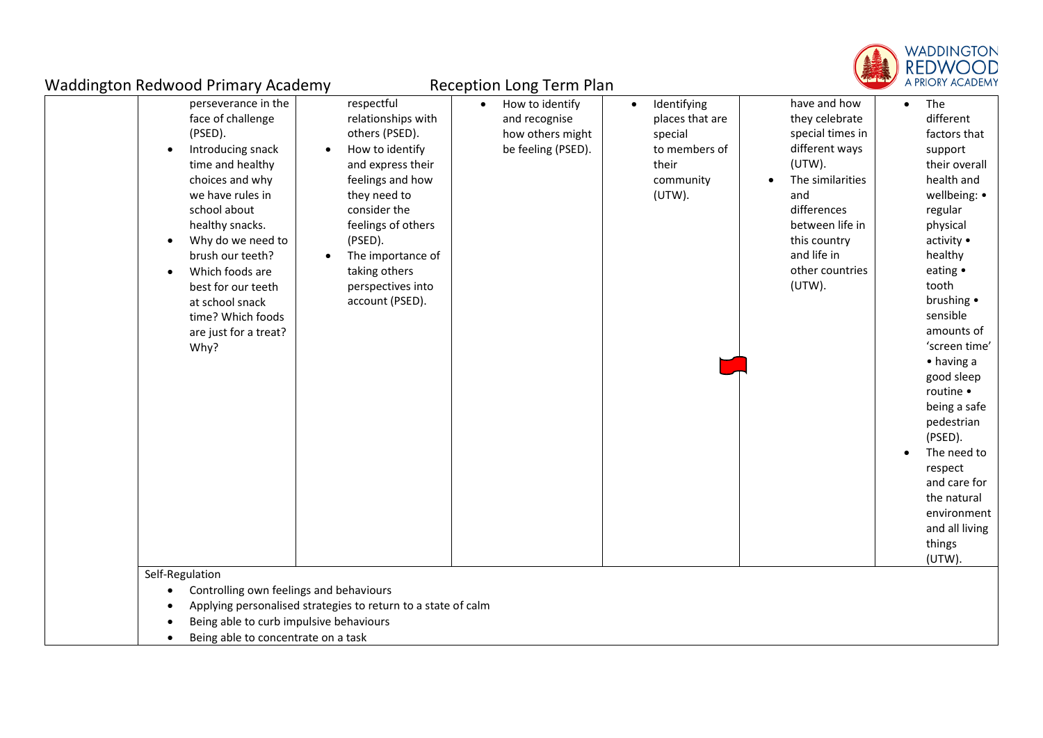

| <b>Waddington Redwood Primary Academy</b>                                                                                                                                                                                                                                                                                                                                |                                                                                                                                                                                                                                                                                         | <b>Reception Long Term Plan</b>                                            |                                                                                                         | <b>Calgary Control</b>                                                                                                                                                                                     | A PRIORY ACADEM'                                                                                                                                                                                                                                                                                                                                                                                                                              |
|--------------------------------------------------------------------------------------------------------------------------------------------------------------------------------------------------------------------------------------------------------------------------------------------------------------------------------------------------------------------------|-----------------------------------------------------------------------------------------------------------------------------------------------------------------------------------------------------------------------------------------------------------------------------------------|----------------------------------------------------------------------------|---------------------------------------------------------------------------------------------------------|------------------------------------------------------------------------------------------------------------------------------------------------------------------------------------------------------------|-----------------------------------------------------------------------------------------------------------------------------------------------------------------------------------------------------------------------------------------------------------------------------------------------------------------------------------------------------------------------------------------------------------------------------------------------|
| perseverance in the<br>face of challenge<br>(PSED).<br>Introducing snack<br>$\bullet$<br>time and healthy<br>choices and why<br>we have rules in<br>school about<br>healthy snacks.<br>Why do we need to<br>$\bullet$<br>brush our teeth?<br>Which foods are<br>$\bullet$<br>best for our teeth<br>at school snack<br>time? Which foods<br>are just for a treat?<br>Why? | respectful<br>relationships with<br>others (PSED).<br>How to identify<br>$\bullet$<br>and express their<br>feelings and how<br>they need to<br>consider the<br>feelings of others<br>(PSED).<br>The importance of<br>$\bullet$<br>taking others<br>perspectives into<br>account (PSED). | How to identify<br>and recognise<br>how others might<br>be feeling (PSED). | Identifying<br>$\bullet$<br>places that are<br>special<br>to members of<br>their<br>community<br>(UTW). | have and how<br>they celebrate<br>special times in<br>different ways<br>$(UTW)$ .<br>The similarities<br>and<br>differences<br>between life in<br>this country<br>and life in<br>other countries<br>(UTW). | The<br>$\bullet$<br>different<br>factors that<br>support<br>their overall<br>health and<br>wellbeing: •<br>regular<br>physical<br>activity •<br>healthy<br>eating •<br>tooth<br>brushing •<br>sensible<br>amounts of<br>'screen time'<br>$\bullet$ having a<br>good sleep<br>routine •<br>being a safe<br>pedestrian<br>(PSED).<br>The need to<br>respect<br>and care for<br>the natural<br>environment<br>and all living<br>things<br>(UTW). |
| Self-Regulation<br>Controlling own feelings and behaviours<br>$\bullet$<br>Being able to curb impulsive behaviours<br>$\bullet$<br>Being able to concentrate on a task                                                                                                                                                                                                   | Applying personalised strategies to return to a state of calm                                                                                                                                                                                                                           |                                                                            |                                                                                                         |                                                                                                                                                                                                            |                                                                                                                                                                                                                                                                                                                                                                                                                                               |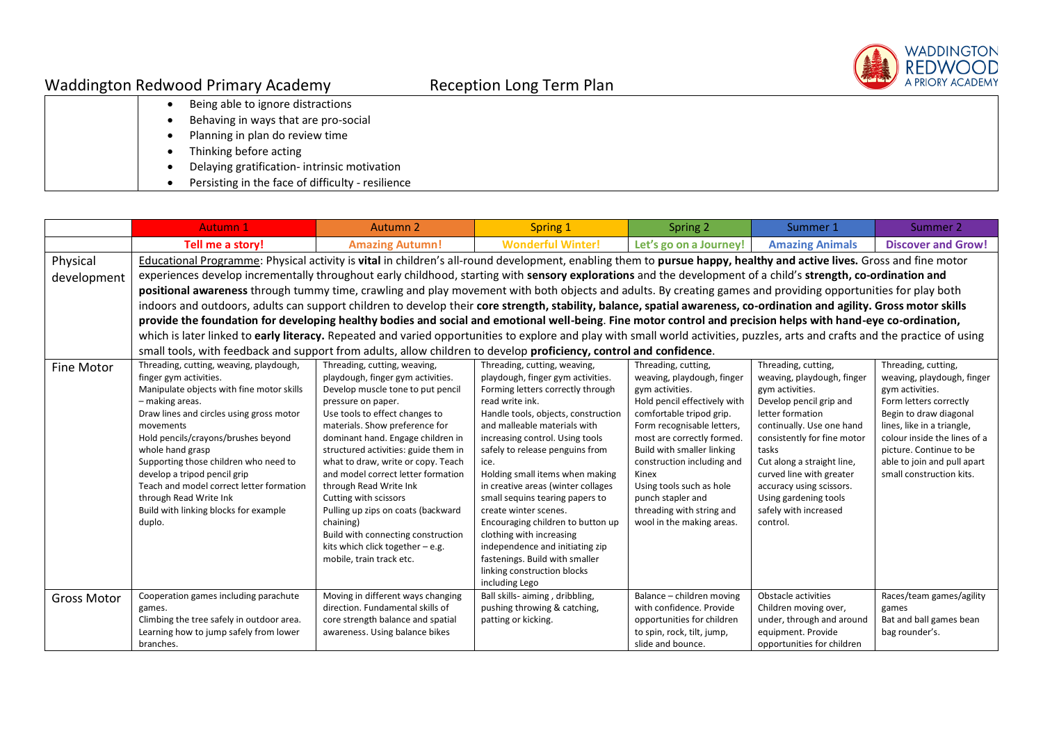

|  | Being able to ignore distractions           |
|--|---------------------------------------------|
|  | Behaving in ways that are pro-social        |
|  | Planning in plan do review time             |
|  | Thinking before acting                      |
|  | Delaying gratification-intrinsic motivation |

• Persisting in the face of difficulty - resilience

|                    | <b>Autumn 1</b>                                                                                                                                                                | Autumn <sub>2</sub>                             | Spring 1                                                              | Spring 2                                      | Summer 1                                       | Summer 2                     |
|--------------------|--------------------------------------------------------------------------------------------------------------------------------------------------------------------------------|-------------------------------------------------|-----------------------------------------------------------------------|-----------------------------------------------|------------------------------------------------|------------------------------|
|                    | Tell me a story!                                                                                                                                                               | <b>Amazing Autumn!</b>                          | <b>Wonderful Winter!</b>                                              | Let's go on a Journey!                        | <b>Amazing Animals</b>                         | <b>Discover and Grow!</b>    |
| Physical           | Educational Programme: Physical activity is vital in children's all-round development, enabling them to pursue happy, healthy and active lives. Gross and fine motor           |                                                 |                                                                       |                                               |                                                |                              |
| development        | experiences develop incrementally throughout early childhood, starting with sensory explorations and the development of a child's strength, co-ordination and                  |                                                 |                                                                       |                                               |                                                |                              |
|                    | positional awareness through tummy time, crawling and play movement with both objects and adults. By creating games and providing opportunities for play both                  |                                                 |                                                                       |                                               |                                                |                              |
|                    | indoors and outdoors, adults can support children to develop their core strength, stability, balance, spatial awareness, co-ordination and agility. Gross motor skills         |                                                 |                                                                       |                                               |                                                |                              |
|                    | provide the foundation for developing healthy bodies and social and emotional well-being. Fine motor control and precision helps with hand-eye co-ordination,                  |                                                 |                                                                       |                                               |                                                |                              |
|                    | which is later linked to early literacy. Repeated and varied opportunities to explore and play with small world activities, puzzles, arts and crafts and the practice of using |                                                 |                                                                       |                                               |                                                |                              |
|                    | small tools, with feedback and support from adults, allow children to develop proficiency, control and confidence.                                                             |                                                 |                                                                       |                                               |                                                |                              |
| <b>Fine Motor</b>  | Threading, cutting, weaving, playdough,                                                                                                                                        | Threading, cutting, weaving,                    | Threading, cutting, weaving,                                          | Threading, cutting,                           | Threading, cutting,                            | Threading, cutting,          |
|                    | finger gym activities.                                                                                                                                                         | playdough, finger gym activities.               | playdough, finger gym activities.                                     | weaving, playdough, finger                    | weaving, playdough, finger                     | weaving, playdough, finger   |
|                    | Manipulate objects with fine motor skills                                                                                                                                      | Develop muscle tone to put pencil               | Forming letters correctly through                                     | gym activities.                               | gym activities.                                | gym activities.              |
|                    | - making areas.                                                                                                                                                                | pressure on paper.                              | read write ink.                                                       | Hold pencil effectively with                  | Develop pencil grip and                        | Form letters correctly       |
|                    | Draw lines and circles using gross motor                                                                                                                                       | Use tools to effect changes to                  | Handle tools, objects, construction                                   | comfortable tripod grip.                      | letter formation                               | Begin to draw diagonal       |
|                    | movements                                                                                                                                                                      | materials. Show preference for                  | and malleable materials with                                          | Form recognisable letters,                    | continually. Use one hand                      | lines, like in a triangle,   |
|                    | Hold pencils/crayons/brushes beyond                                                                                                                                            | dominant hand. Engage children in               | increasing control. Using tools                                       | most are correctly formed.                    | consistently for fine motor                    | colour inside the lines of a |
|                    | whole hand grasp                                                                                                                                                               | structured activities: guide them in            | safely to release penguins from                                       | Build with smaller linking                    | tasks                                          | picture. Continue to be      |
|                    | Supporting those children who need to                                                                                                                                          | what to draw, write or copy. Teach              | ice.                                                                  | construction including and                    | Cut along a straight line,                     | able to join and pull apart  |
|                    | develop a tripod pencil grip                                                                                                                                                   | and model correct letter formation              | Holding small items when making                                       | Kinex                                         | curved line with greater                       | small construction kits.     |
|                    | Teach and model correct letter formation<br>through Read Write Ink                                                                                                             | through Read Write Ink<br>Cutting with scissors | in creative areas (winter collages<br>small sequins tearing papers to | Using tools such as hole<br>punch stapler and | accuracy using scissors.                       |                              |
|                    | Build with linking blocks for example                                                                                                                                          | Pulling up zips on coats (backward              | create winter scenes.                                                 | threading with string and                     | Using gardening tools<br>safely with increased |                              |
|                    | duplo.                                                                                                                                                                         | chaining)                                       | Encouraging children to button up                                     | wool in the making areas.                     | control.                                       |                              |
|                    |                                                                                                                                                                                | Build with connecting construction              | clothing with increasing                                              |                                               |                                                |                              |
|                    |                                                                                                                                                                                | kits which click together - e.g.                | independence and initiating zip                                       |                                               |                                                |                              |
|                    |                                                                                                                                                                                | mobile, train track etc.                        | fastenings. Build with smaller                                        |                                               |                                                |                              |
|                    |                                                                                                                                                                                |                                                 | linking construction blocks                                           |                                               |                                                |                              |
|                    |                                                                                                                                                                                |                                                 | including Lego                                                        |                                               |                                                |                              |
| <b>Gross Motor</b> | Cooperation games including parachute                                                                                                                                          | Moving in different ways changing               | Ball skills- aiming, dribbling,                                       | Balance - children moving                     | Obstacle activities                            | Races/team games/agility     |
|                    | games.                                                                                                                                                                         | direction. Fundamental skills of                | pushing throwing & catching,                                          | with confidence. Provide                      | Children moving over,                          | games                        |
|                    | Climbing the tree safely in outdoor area.                                                                                                                                      | core strength balance and spatial               | patting or kicking.                                                   | opportunities for children                    | under, through and around                      | Bat and ball games bean      |
|                    | Learning how to jump safely from lower                                                                                                                                         | awareness. Using balance bikes                  |                                                                       | to spin, rock, tilt, jump,                    | equipment. Provide                             | bag rounder's.               |
|                    | branches.                                                                                                                                                                      |                                                 |                                                                       | slide and bounce.                             | opportunities for children                     |                              |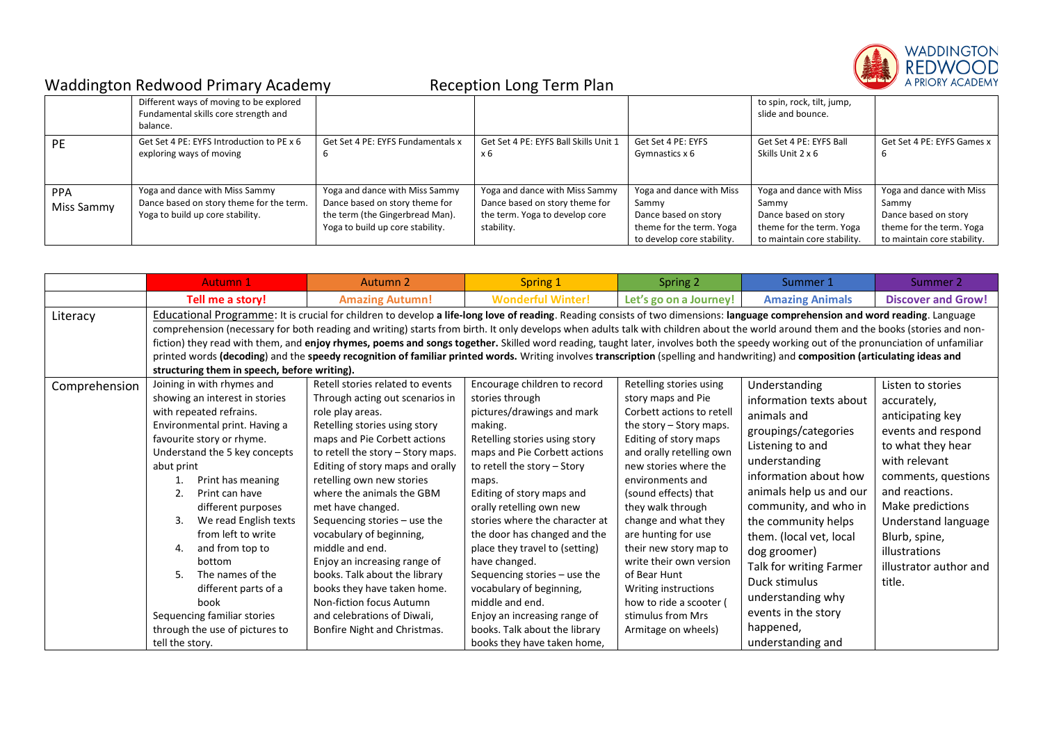

|                          | Different ways of moving to be explored<br>Fundamental skills core strength and<br>balance.                    |                                                                                                                                         |                                                                                                                  |                                                                                                                     | to spin, rock, tilt, jump,<br>slide and bounce.                                                                      |                                                                                                                      |
|--------------------------|----------------------------------------------------------------------------------------------------------------|-----------------------------------------------------------------------------------------------------------------------------------------|------------------------------------------------------------------------------------------------------------------|---------------------------------------------------------------------------------------------------------------------|----------------------------------------------------------------------------------------------------------------------|----------------------------------------------------------------------------------------------------------------------|
| <b>PE</b>                | Get Set 4 PE: EYFS Introduction to PE x 6<br>exploring ways of moving                                          | Get Set 4 PE: EYFS Fundamentals x                                                                                                       | Get Set 4 PE: EYFS Ball Skills Unit 1<br>x 6                                                                     | Get Set 4 PE: EYFS<br>Gymnastics x 6                                                                                | Get Set 4 PE: EYFS Ball<br>Skills Unit 2 x 6                                                                         | Get Set 4 PE: EYFS Games x                                                                                           |
| <b>PPA</b><br>Miss Sammy | Yoga and dance with Miss Sammy<br>Dance based on story theme for the term.<br>Yoga to build up core stability. | Yoga and dance with Miss Sammy<br>Dance based on story theme for<br>the term (the Gingerbread Man).<br>Yoga to build up core stability. | Yoga and dance with Miss Sammy<br>Dance based on story theme for<br>the term. Yoga to develop core<br>stability. | Yoga and dance with Miss<br>Sammy<br>Dance based on story<br>theme for the term. Yoga<br>to develop core stability. | Yoga and dance with Miss<br>Sammy<br>Dance based on story<br>theme for the term. Yoga<br>to maintain core stability. | Yoga and dance with Miss<br>Sammy<br>Dance based on story<br>theme for the term. Yoga<br>to maintain core stability. |

|               | <b>Autumn 1</b>                                                                                                                                                                                                                                                                                                                                                                                                                                                                                               | <b>Autumn 2</b>                                                                                                                                                                                                                                                                                                                                                                                                                                                                                                                                                                                                                                                                                                                                       | Spring 1                                                                                                                                                                                                                                                                                                                                                                                                                                                                                                                                                       | Spring 2                                                                                                                                                                                                                                                                                                                                                                                                                                                                  | Summer 1                                                                                                                                                                                                                                                                                                                                                                                      | Summer 2                                                                                                                                                                                                                                                                   |
|---------------|---------------------------------------------------------------------------------------------------------------------------------------------------------------------------------------------------------------------------------------------------------------------------------------------------------------------------------------------------------------------------------------------------------------------------------------------------------------------------------------------------------------|-------------------------------------------------------------------------------------------------------------------------------------------------------------------------------------------------------------------------------------------------------------------------------------------------------------------------------------------------------------------------------------------------------------------------------------------------------------------------------------------------------------------------------------------------------------------------------------------------------------------------------------------------------------------------------------------------------------------------------------------------------|----------------------------------------------------------------------------------------------------------------------------------------------------------------------------------------------------------------------------------------------------------------------------------------------------------------------------------------------------------------------------------------------------------------------------------------------------------------------------------------------------------------------------------------------------------------|---------------------------------------------------------------------------------------------------------------------------------------------------------------------------------------------------------------------------------------------------------------------------------------------------------------------------------------------------------------------------------------------------------------------------------------------------------------------------|-----------------------------------------------------------------------------------------------------------------------------------------------------------------------------------------------------------------------------------------------------------------------------------------------------------------------------------------------------------------------------------------------|----------------------------------------------------------------------------------------------------------------------------------------------------------------------------------------------------------------------------------------------------------------------------|
|               | Tell me a story!                                                                                                                                                                                                                                                                                                                                                                                                                                                                                              | <b>Amazing Autumn!</b>                                                                                                                                                                                                                                                                                                                                                                                                                                                                                                                                                                                                                                                                                                                                | <b>Wonderful Winter!</b>                                                                                                                                                                                                                                                                                                                                                                                                                                                                                                                                       | Let's go on a Journey!                                                                                                                                                                                                                                                                                                                                                                                                                                                    | <b>Amazing Animals</b>                                                                                                                                                                                                                                                                                                                                                                        | <b>Discover and Grow!</b>                                                                                                                                                                                                                                                  |
| Literacy      | structuring them in speech, before writing).                                                                                                                                                                                                                                                                                                                                                                                                                                                                  | Educational Programme: It is crucial for children to develop a life-long love of reading. Reading consists of two dimensions: language comprehension and word reading. Language<br>comprehension (necessary for both reading and writing) starts from birth. It only develops when adults talk with children about the world around them and the books (stories and non-<br>fiction) they read with them, and enjoy rhymes, poems and songs together. Skilled word reading, taught later, involves both the speedy working out of the pronunciation of unfamiliar<br>printed words (decoding) and the speedy recognition of familiar printed words. Writing involves transcription (spelling and handwriting) and composition (articulating ideas and |                                                                                                                                                                                                                                                                                                                                                                                                                                                                                                                                                                |                                                                                                                                                                                                                                                                                                                                                                                                                                                                           |                                                                                                                                                                                                                                                                                                                                                                                               |                                                                                                                                                                                                                                                                            |
| Comprehension | Joining in with rhymes and<br>showing an interest in stories<br>with repeated refrains.<br>Environmental print. Having a<br>favourite story or rhyme.<br>Understand the 5 key concepts<br>abut print<br>Print has meaning<br>Print can have<br>2.<br>different purposes<br>We read English texts<br>3.<br>from left to write<br>and from top to<br>4.<br>bottom<br>5.<br>The names of the<br>different parts of a<br>book<br>Sequencing familiar stories<br>through the use of pictures to<br>tell the story. | Retell stories related to events<br>Through acting out scenarios in<br>role play areas.<br>Retelling stories using story<br>maps and Pie Corbett actions<br>to retell the story - Story maps.<br>Editing of story maps and orally<br>retelling own new stories<br>where the animals the GBM<br>met have changed.<br>Sequencing stories - use the<br>vocabulary of beginning,<br>middle and end.<br>Enjoy an increasing range of<br>books. Talk about the library<br>books they have taken home.<br>Non-fiction focus Autumn<br>and celebrations of Diwali,<br>Bonfire Night and Christmas.                                                                                                                                                            | Encourage children to record<br>stories through<br>pictures/drawings and mark<br>making.<br>Retelling stories using story<br>maps and Pie Corbett actions<br>to retell the story - Story<br>maps.<br>Editing of story maps and<br>orally retelling own new<br>stories where the character at<br>the door has changed and the<br>place they travel to (setting)<br>have changed.<br>Sequencing stories - use the<br>vocabulary of beginning,<br>middle and end.<br>Enjoy an increasing range of<br>books. Talk about the library<br>books they have taken home, | Retelling stories using<br>story maps and Pie<br>Corbett actions to retell<br>the story $-$ Story maps.<br>Editing of story maps<br>and orally retelling own<br>new stories where the<br>environments and<br>(sound effects) that<br>they walk through<br>change and what they<br>are hunting for use<br>their new story map to<br>write their own version<br>of Bear Hunt<br>Writing instructions<br>how to ride a scooter (<br>stimulus from Mrs<br>Armitage on wheels) | Understanding<br>information texts about<br>animals and<br>groupings/categories<br>Listening to and<br>understanding<br>information about how<br>animals help us and our<br>community, and who in<br>the community helps<br>them. (local vet, local<br>dog groomer)<br>Talk for writing Farmer<br>Duck stimulus<br>understanding why<br>events in the story<br>happened,<br>understanding and | Listen to stories<br>accurately,<br>anticipating key<br>events and respond<br>to what they hear<br>with relevant<br>comments, questions<br>and reactions.<br>Make predictions<br>Understand language<br>Blurb, spine,<br>illustrations<br>illustrator author and<br>title. |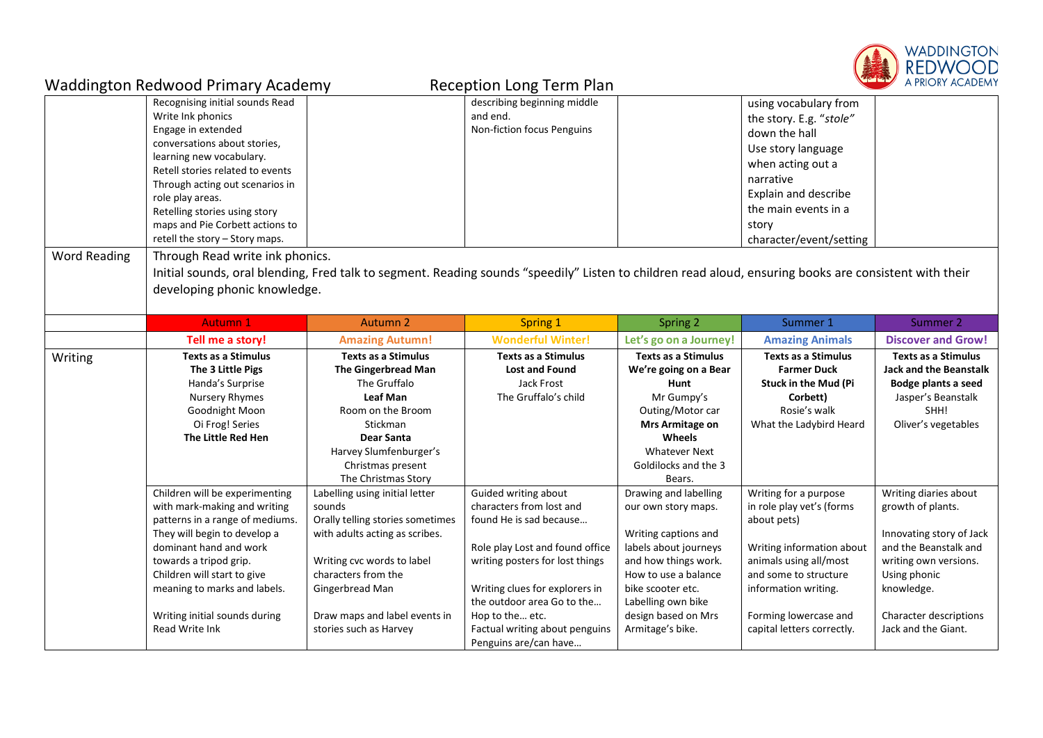

|                     | <b>Waddington Redwood Primary Academy</b>                                                                                                                                                                                                                                                                                                                                  |                                                                                                                                                                                                                                                   | <b>Reception Long Term Plan</b>                                                                                                                                                                                                                                                                 |                                                                                                                                                                                                                                     |                                                                                                                                                                                                                                  | <b>The Line</b><br>A PRIORY ACADEMY                                                                                                                                                                     |
|---------------------|----------------------------------------------------------------------------------------------------------------------------------------------------------------------------------------------------------------------------------------------------------------------------------------------------------------------------------------------------------------------------|---------------------------------------------------------------------------------------------------------------------------------------------------------------------------------------------------------------------------------------------------|-------------------------------------------------------------------------------------------------------------------------------------------------------------------------------------------------------------------------------------------------------------------------------------------------|-------------------------------------------------------------------------------------------------------------------------------------------------------------------------------------------------------------------------------------|----------------------------------------------------------------------------------------------------------------------------------------------------------------------------------------------------------------------------------|---------------------------------------------------------------------------------------------------------------------------------------------------------------------------------------------------------|
| <b>Word Reading</b> | Recognising initial sounds Read<br>Write Ink phonics<br>Engage in extended<br>conversations about stories,<br>learning new vocabulary.<br>Retell stories related to events<br>Through acting out scenarios in<br>role play areas.<br>Retelling stories using story<br>maps and Pie Corbett actions to<br>retell the story - Story maps.<br>Through Read write ink phonics. |                                                                                                                                                                                                                                                   | describing beginning middle<br>and end.<br>Non-fiction focus Penguins                                                                                                                                                                                                                           |                                                                                                                                                                                                                                     | using vocabulary from<br>the story. E.g. "stole"<br>down the hall<br>Use story language<br>when acting out a<br>narrative<br>Explain and describe<br>the main events in a<br>story<br>character/event/setting                    |                                                                                                                                                                                                         |
|                     | developing phonic knowledge.                                                                                                                                                                                                                                                                                                                                               | Initial sounds, oral blending, Fred talk to segment. Reading sounds "speedily" Listen to children read aloud, ensuring books are consistent with their                                                                                            |                                                                                                                                                                                                                                                                                                 |                                                                                                                                                                                                                                     |                                                                                                                                                                                                                                  |                                                                                                                                                                                                         |
|                     | <b>Autumn 1</b>                                                                                                                                                                                                                                                                                                                                                            | <b>Autumn 2</b>                                                                                                                                                                                                                                   | Spring 1                                                                                                                                                                                                                                                                                        | Spring 2                                                                                                                                                                                                                            | Summer 1                                                                                                                                                                                                                         | Summer 2                                                                                                                                                                                                |
|                     | Tell me a story!                                                                                                                                                                                                                                                                                                                                                           | <b>Amazing Autumn!</b>                                                                                                                                                                                                                            | <b>Wonderful Winter!</b>                                                                                                                                                                                                                                                                        | Let's go on a Journey!                                                                                                                                                                                                              | <b>Amazing Animals</b>                                                                                                                                                                                                           | <b>Discover and Grow!</b>                                                                                                                                                                               |
| Writing             | <b>Texts as a Stimulus</b><br>The 3 Little Pigs<br>Handa's Surprise<br><b>Nursery Rhymes</b><br>Goodnight Moon<br>Oi Frog! Series<br>The Little Red Hen                                                                                                                                                                                                                    | <b>Texts as a Stimulus</b><br><b>The Gingerbread Man</b><br>The Gruffalo<br>Leaf Man<br>Room on the Broom<br>Stickman<br>Dear Santa<br>Harvey Slumfenburger's<br>Christmas present<br>The Christmas Story                                         | <b>Texts as a Stimulus</b><br><b>Lost and Found</b><br>Jack Frost<br>The Gruffalo's child                                                                                                                                                                                                       | <b>Texts as a Stimulus</b><br>We're going on a Bear<br>Hunt<br>Mr Gumpy's<br>Outing/Motor car<br>Mrs Armitage on<br>Wheels<br><b>Whatever Next</b><br>Goldilocks and the 3<br>Bears.                                                | <b>Texts as a Stimulus</b><br><b>Farmer Duck</b><br>Stuck in the Mud (Pi<br>Corbett)<br>Rosie's walk<br>What the Ladybird Heard                                                                                                  | <b>Texts as a Stimulus</b><br><b>Jack and the Beanstalk</b><br>Bodge plants a seed<br>Jasper's Beanstalk<br>SHH!<br>Oliver's vegetables                                                                 |
|                     | Children will be experimenting<br>with mark-making and writing<br>patterns in a range of mediums.<br>They will begin to develop a<br>dominant hand and work<br>towards a tripod grip.<br>Children will start to give<br>meaning to marks and labels.<br>Writing initial sounds during<br>Read Write Ink                                                                    | Labelling using initial letter<br>sounds<br>Orally telling stories sometimes<br>with adults acting as scribes.<br>Writing cvc words to label<br>characters from the<br>Gingerbread Man<br>Draw maps and label events in<br>stories such as Harvey | Guided writing about<br>characters from lost and<br>found He is sad because<br>Role play Lost and found office<br>writing posters for lost things<br>Writing clues for explorers in<br>the outdoor area Go to the<br>Hop to the etc.<br>Factual writing about penguins<br>Penguins are/can have | Drawing and labelling<br>our own story maps.<br>Writing captions and<br>labels about journeys<br>and how things work.<br>How to use a balance<br>bike scooter etc.<br>Labelling own bike<br>design based on Mrs<br>Armitage's bike. | Writing for a purpose<br>in role play vet's (forms<br>about pets)<br>Writing information about<br>animals using all/most<br>and some to structure<br>information writing.<br>Forming lowercase and<br>capital letters correctly. | Writing diaries about<br>growth of plants.<br>Innovating story of Jack<br>and the Beanstalk and<br>writing own versions.<br>Using phonic<br>knowledge.<br>Character descriptions<br>Jack and the Giant. |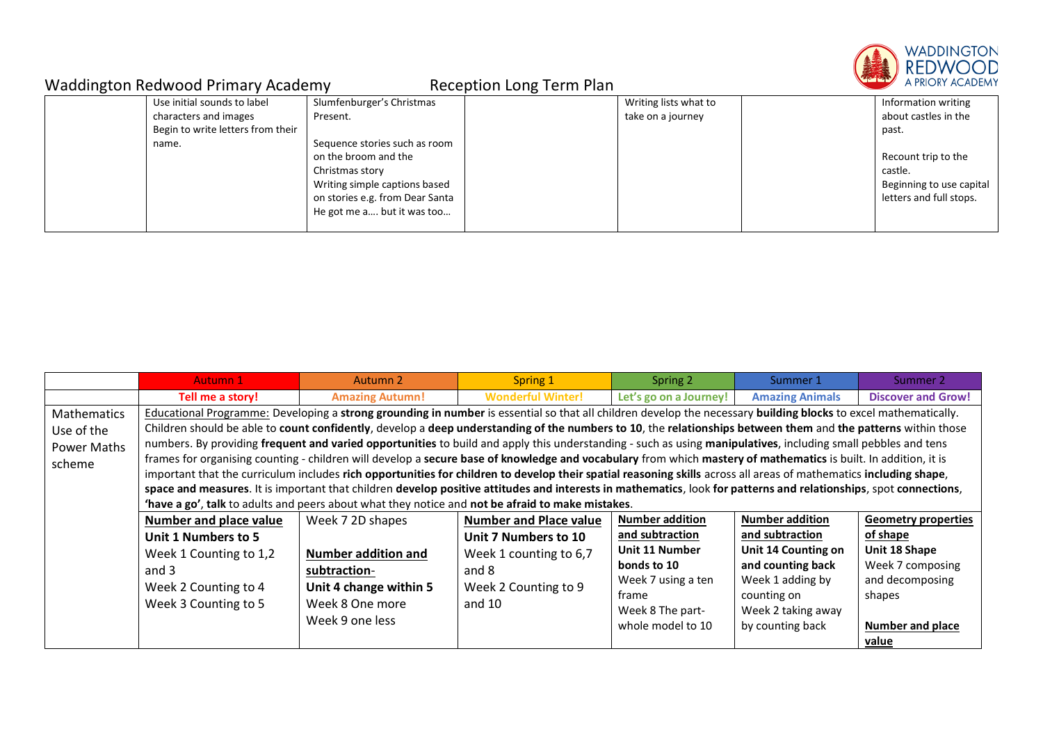

| ີ |                                   |                                 | ີ |                       |                          |
|---|-----------------------------------|---------------------------------|---|-----------------------|--------------------------|
|   | Use initial sounds to label       | Slumfenburger's Christmas       |   | Writing lists what to | Information writing      |
|   | characters and images             | Present.                        |   | take on a journey     | about castles in the     |
|   | Begin to write letters from their |                                 |   |                       | past.                    |
|   | name.                             | Sequence stories such as room   |   |                       |                          |
|   |                                   | on the broom and the            |   |                       | Recount trip to the      |
|   |                                   | Christmas story                 |   |                       | castle.                  |
|   |                                   | Writing simple captions based   |   |                       | Beginning to use capital |
|   |                                   | on stories e.g. from Dear Santa |   |                       | letters and full stops.  |
|   |                                   | He got me a but it was too      |   |                       |                          |
|   |                                   |                                 |   |                       |                          |

|             | <b>Autumn 1</b>                                                                                                                                                 | Autumn 2                                                                                                                                                          | Spring 1                      | Spring 2               | Summer 1               | Summer 2                   |  |  |  |
|-------------|-----------------------------------------------------------------------------------------------------------------------------------------------------------------|-------------------------------------------------------------------------------------------------------------------------------------------------------------------|-------------------------------|------------------------|------------------------|----------------------------|--|--|--|
|             | Tell me a story!                                                                                                                                                | <b>Amazing Autumn!</b>                                                                                                                                            | <b>Wonderful Winter!</b>      | Let's go on a Journey! | <b>Amazing Animals</b> | <b>Discover and Grow!</b>  |  |  |  |
| Mathematics | Educational Programme: Developing a strong grounding in number is essential so that all children develop the necessary building blocks to excel mathematically. |                                                                                                                                                                   |                               |                        |                        |                            |  |  |  |
| Use of the  |                                                                                                                                                                 | Children should be able to count confidently, develop a deep understanding of the numbers to 10, the relationships between them and the patterns within those     |                               |                        |                        |                            |  |  |  |
| Power Maths |                                                                                                                                                                 | numbers. By providing frequent and varied opportunities to build and apply this understanding - such as using manipulatives, including small pebbles and tens     |                               |                        |                        |                            |  |  |  |
| scheme      |                                                                                                                                                                 | frames for organising counting - children will develop a secure base of knowledge and vocabulary from which mastery of mathematics is built. In addition, it is   |                               |                        |                        |                            |  |  |  |
|             |                                                                                                                                                                 | important that the curriculum includes rich opportunities for children to develop their spatial reasoning skills across all areas of mathematics including shape, |                               |                        |                        |                            |  |  |  |
|             |                                                                                                                                                                 | space and measures. It is important that children develop positive attitudes and interests in mathematics, look for patterns and relationships, spot connections, |                               |                        |                        |                            |  |  |  |
|             |                                                                                                                                                                 | 'have a go', talk to adults and peers about what they notice and not be afraid to make mistakes.                                                                  |                               |                        |                        |                            |  |  |  |
|             | <b>Number and place value</b>                                                                                                                                   | Week 7 2D shapes                                                                                                                                                  | <b>Number and Place value</b> | <b>Number addition</b> | <b>Number addition</b> | <b>Geometry properties</b> |  |  |  |
|             | Unit 1 Numbers to 5                                                                                                                                             |                                                                                                                                                                   | Unit 7 Numbers to 10          | and subtraction        | and subtraction        | of shape                   |  |  |  |
|             | Week 1 Counting to 1,2                                                                                                                                          | <b>Number addition and</b>                                                                                                                                        | Week 1 counting to 6,7        | Unit 11 Number         | Unit 14 Counting on    | Unit 18 Shape              |  |  |  |
|             | and 3                                                                                                                                                           | subtraction-                                                                                                                                                      | and 8                         | bonds to 10            | and counting back      | Week 7 composing           |  |  |  |
|             | Week 2 Counting to 4                                                                                                                                            | Unit 4 change within 5                                                                                                                                            | Week 2 Counting to 9          | Week 7 using a ten     | Week 1 adding by       | and decomposing            |  |  |  |
|             | Week 3 Counting to 5                                                                                                                                            | Week 8 One more                                                                                                                                                   | and $10$                      | frame                  | counting on            | shapes                     |  |  |  |
|             | Week 9 one less                                                                                                                                                 |                                                                                                                                                                   | Week 8 The part-              | Week 2 taking away     |                        |                            |  |  |  |
|             |                                                                                                                                                                 |                                                                                                                                                                   |                               | whole model to 10      | by counting back       | <b>Number and place</b>    |  |  |  |
|             |                                                                                                                                                                 |                                                                                                                                                                   |                               |                        |                        | <u>value</u>               |  |  |  |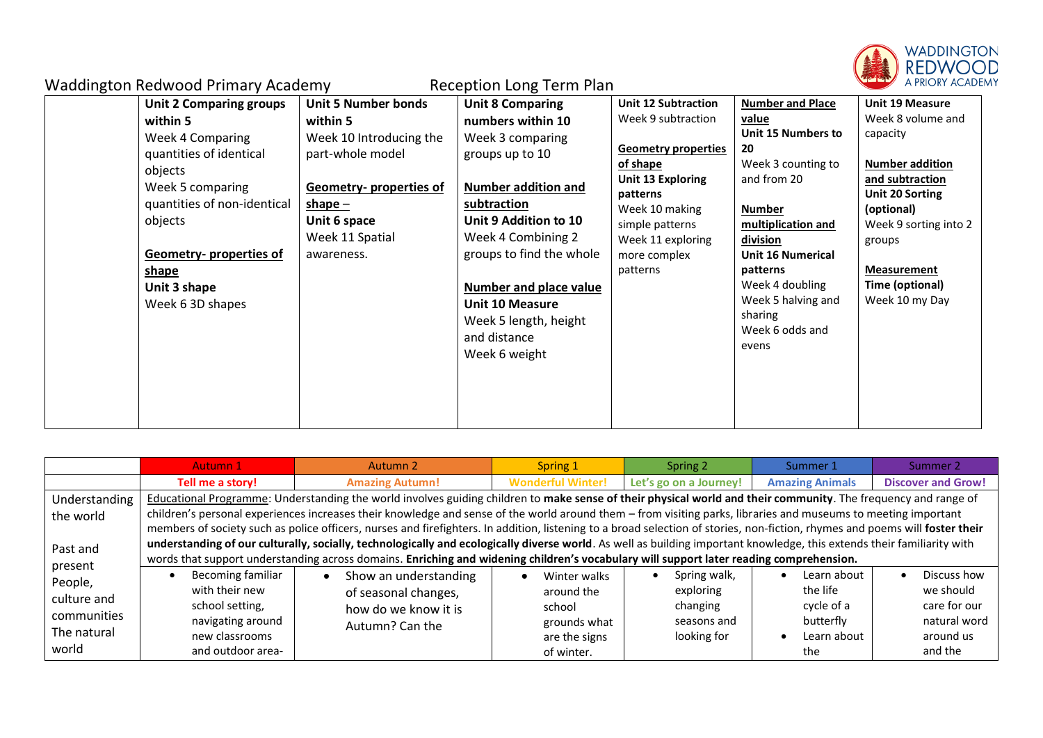

| <b>Waddington Redwood Primary Academy</b>                                                                                                                                                                                                                                                                                         | <b>Reception Long Term Plan</b>                                                                                                                                                                                                                                                                                                                                                                                                                 |                                                                                                                                                                                                                   |                                                                                                                                                                                                                                                                              | <b>The Line A</b><br>A PRIORY ACADEM                                                                                                                                                                                                |
|-----------------------------------------------------------------------------------------------------------------------------------------------------------------------------------------------------------------------------------------------------------------------------------------------------------------------------------|-------------------------------------------------------------------------------------------------------------------------------------------------------------------------------------------------------------------------------------------------------------------------------------------------------------------------------------------------------------------------------------------------------------------------------------------------|-------------------------------------------------------------------------------------------------------------------------------------------------------------------------------------------------------------------|------------------------------------------------------------------------------------------------------------------------------------------------------------------------------------------------------------------------------------------------------------------------------|-------------------------------------------------------------------------------------------------------------------------------------------------------------------------------------------------------------------------------------|
| <b>Unit 2 Comparing groups</b><br>within 5<br>within 5<br><b>Week 4 Comparing</b><br>quantities of identical<br>objects<br>Week 5 comparing<br>quantities of non-identical<br>$shape -$<br>objects<br>Unit 6 space<br>Week 11 Spatial<br><b>Geometry-properties of</b><br>awareness.<br>shape<br>Unit 3 shape<br>Week 6 3D shapes | <b>Unit 5 Number bonds</b><br><b>Unit 8 Comparing</b><br>numbers within 10<br>Week 10 Introducing the<br>Week 3 comparing<br>part-whole model<br>groups up to 10<br><b>Geometry- properties of</b><br><b>Number addition and</b><br>subtraction<br>Unit 9 Addition to 10<br>Week 4 Combining 2<br>groups to find the whole<br><b>Number and place value</b><br><b>Unit 10 Measure</b><br>Week 5 length, height<br>and distance<br>Week 6 weight | <b>Unit 12 Subtraction</b><br>Week 9 subtraction<br><b>Geometry properties</b><br>of shape<br>Unit 13 Exploring<br>patterns<br>Week 10 making<br>simple patterns<br>Week 11 exploring<br>more complex<br>patterns | <b>Number and Place</b><br>value<br>Unit 15 Numbers to<br>20<br>Week 3 counting to<br>and from 20<br><b>Number</b><br>multiplication and<br>division<br><b>Unit 16 Numerical</b><br>patterns<br>Week 4 doubling<br>Week 5 halving and<br>sharing<br>Week 6 odds and<br>evens | <b>Unit 19 Measure</b><br>Week 8 volume and<br>capacity<br><b>Number addition</b><br>and subtraction<br>Unit 20 Sorting<br>(optional)<br>Week 9 sorting into 2<br>groups<br><b>Measurement</b><br>Time (optional)<br>Week 10 my Day |

|               | <b>Autumn 1</b>                                                                                                                                                         | Autumn 2                                                                                                                                                                     | Spring 1                 | Spring 2               | Summer 1               | Summer 2                  |  |
|---------------|-------------------------------------------------------------------------------------------------------------------------------------------------------------------------|------------------------------------------------------------------------------------------------------------------------------------------------------------------------------|--------------------------|------------------------|------------------------|---------------------------|--|
|               | Tell me a story!                                                                                                                                                        | <b>Amazing Autumn!</b>                                                                                                                                                       | <b>Wonderful Winter!</b> | Let's go on a Journey! | <b>Amazing Animals</b> | <b>Discover and Grow!</b> |  |
| Understanding | Educational Programme: Understanding the world involves guiding children to make sense of their physical world and their community. The frequency and range of          |                                                                                                                                                                              |                          |                        |                        |                           |  |
| the world     | children's personal experiences increases their knowledge and sense of the world around them - from visiting parks, libraries and museums to meeting important          |                                                                                                                                                                              |                          |                        |                        |                           |  |
|               |                                                                                                                                                                         | members of society such as police officers, nurses and firefighters. In addition, listening to a broad selection of stories, non-fiction, rhymes and poems will foster their |                          |                        |                        |                           |  |
| Past and      | understanding of our culturally, socially, technologically and ecologically diverse world. As well as building important knowledge, this extends their familiarity with |                                                                                                                                                                              |                          |                        |                        |                           |  |
| present       | words that support understanding across domains. Enriching and widening children's vocabulary will support later reading comprehension.                                 |                                                                                                                                                                              |                          |                        |                        |                           |  |
| People,       | Becoming familiar                                                                                                                                                       | Show an understanding                                                                                                                                                        | Winter walks             | Spring walk,           | Learn about            | Discuss how               |  |
|               | with their new                                                                                                                                                          | of seasonal changes,                                                                                                                                                         | around the               | exploring              | the life               | we should                 |  |
| culture and   | school setting,                                                                                                                                                         | how do we know it is                                                                                                                                                         | school                   | changing               | cycle of a             | care for our              |  |
| communities   | navigating around                                                                                                                                                       | Autumn? Can the                                                                                                                                                              | grounds what             | seasons and            | butterfly              | natural word              |  |
| The natural   | new classrooms                                                                                                                                                          |                                                                                                                                                                              | are the signs            | looking for            | Learn about            | around us                 |  |
| world         | and outdoor area-                                                                                                                                                       |                                                                                                                                                                              | of winter.               |                        | the                    | and the                   |  |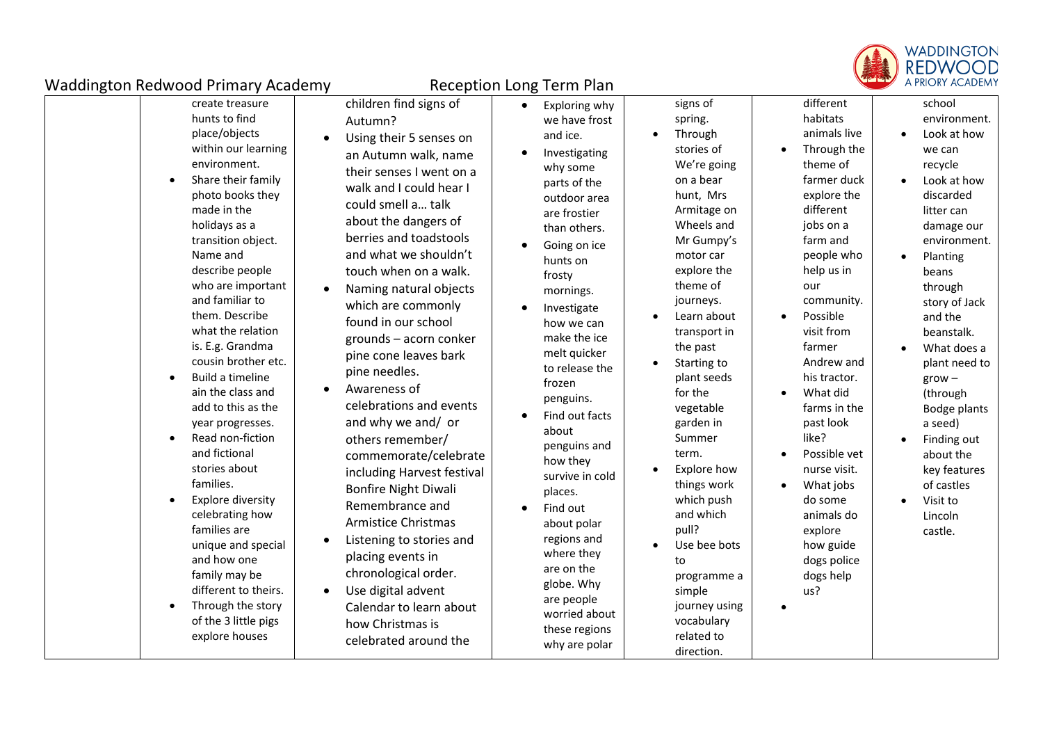

| create treasure<br>hunts to find<br>place/objects<br>within our learning<br>environment.<br>Share their family<br>$\bullet$<br>photo books they<br>made in the<br>holidays as a<br>transition object.<br>Name and<br>describe people<br>who are important<br>and familiar to<br>them. Describe<br>what the relation<br>is. E.g. Grandma<br>cousin brother etc.<br>Build a timeline<br>$\bullet$<br>ain the class and<br>add to this as the<br>year progresses.<br>Read non-fiction<br>$\bullet$<br>and fictional<br>stories about<br>families.<br><b>Explore diversity</b><br>$\bullet$<br>celebrating how<br>families are<br>unique and special<br>and how one<br>family may be<br>different to theirs.<br>Through the story<br>$\bullet$<br>of the 3 little pigs<br>explore houses | children find signs of<br>Autumn?<br>Using their 5 senses on<br>$\bullet$<br>an Autumn walk, name<br>their senses I went on a<br>walk and I could hear I<br>could smell a talk<br>about the dangers of<br>berries and toadstools<br>and what we shouldn't<br>touch when on a walk.<br>Naming natural objects<br>which are commonly<br>found in our school<br>grounds - acorn conker<br>pine cone leaves bark<br>pine needles.<br>Awareness of<br>$\bullet$<br>celebrations and events<br>and why we and/ or<br>others remember/<br>commemorate/celebrate<br>including Harvest festival<br><b>Bonfire Night Diwali</b><br>Remembrance and<br><b>Armistice Christmas</b><br>Listening to stories and<br>$\bullet$<br>placing events in<br>chronological order.<br>Use digital advent<br>Calendar to learn about<br>how Christmas is<br>celebrated around the | Exploring why<br>$\bullet$<br>we have frost<br>and ice.<br>Investigating<br>why some<br>parts of the<br>outdoor area<br>are frostier<br>than others.<br>Going on ice<br>hunts on<br>frosty<br>mornings.<br>Investigate<br>how we can<br>make the ice<br>melt quicker<br>to release the<br>frozen<br>penguins.<br>Find out facts<br>about<br>penguins and<br>how they<br>survive in cold<br>places.<br>Find out<br>about polar<br>regions and<br>where they<br>are on the<br>globe. Why<br>are people<br>worried about<br>these regions<br>why are polar | signs of<br>spring.<br>Through<br>$\bullet$<br>stories of<br>We're going<br>on a bear<br>hunt, Mrs<br>Armitage on<br>Wheels and<br>Mr Gumpy's<br>motor car<br>explore the<br>theme of<br>journeys.<br>Learn about<br>transport in<br>the past<br>Starting to<br>plant seeds<br>for the<br>vegetable<br>garden in<br>Summer<br>term.<br>Explore how<br>things work<br>which push<br>and which<br>pull?<br>Use bee bots<br>to<br>programme a<br>simple<br>journey using<br>vocabulary<br>related to<br>direction. | different<br>habitats<br>animals live<br>Through the<br>theme of<br>farmer duck<br>explore the<br>different<br>jobs on a<br>farm and<br>people who<br>help us in<br>our<br>community.<br>Possible<br>visit from<br>farmer<br>Andrew and<br>his tractor.<br>What did<br>farms in the<br>past look<br>like?<br>Possible vet<br>nurse visit.<br>What jobs<br>do some<br>animals do<br>explore<br>how guide<br>dogs police<br>dogs help<br>us? | school<br>environment.<br>Look at how<br>we can<br>recycle<br>Look at how<br>discarded<br>litter can<br>damage our<br>environment.<br>Planting<br>$\bullet$<br>beans<br>through<br>story of Jack<br>and the<br>beanstalk.<br>What does a<br>plant need to<br>$grow -$<br>(through<br>Bodge plants<br>a seed)<br>Finding out<br>about the<br>key features<br>of castles<br>Visit to<br>Lincoln<br>castle. |
|--------------------------------------------------------------------------------------------------------------------------------------------------------------------------------------------------------------------------------------------------------------------------------------------------------------------------------------------------------------------------------------------------------------------------------------------------------------------------------------------------------------------------------------------------------------------------------------------------------------------------------------------------------------------------------------------------------------------------------------------------------------------------------------|------------------------------------------------------------------------------------------------------------------------------------------------------------------------------------------------------------------------------------------------------------------------------------------------------------------------------------------------------------------------------------------------------------------------------------------------------------------------------------------------------------------------------------------------------------------------------------------------------------------------------------------------------------------------------------------------------------------------------------------------------------------------------------------------------------------------------------------------------------|---------------------------------------------------------------------------------------------------------------------------------------------------------------------------------------------------------------------------------------------------------------------------------------------------------------------------------------------------------------------------------------------------------------------------------------------------------------------------------------------------------------------------------------------------------|-----------------------------------------------------------------------------------------------------------------------------------------------------------------------------------------------------------------------------------------------------------------------------------------------------------------------------------------------------------------------------------------------------------------------------------------------------------------------------------------------------------------|--------------------------------------------------------------------------------------------------------------------------------------------------------------------------------------------------------------------------------------------------------------------------------------------------------------------------------------------------------------------------------------------------------------------------------------------|----------------------------------------------------------------------------------------------------------------------------------------------------------------------------------------------------------------------------------------------------------------------------------------------------------------------------------------------------------------------------------------------------------|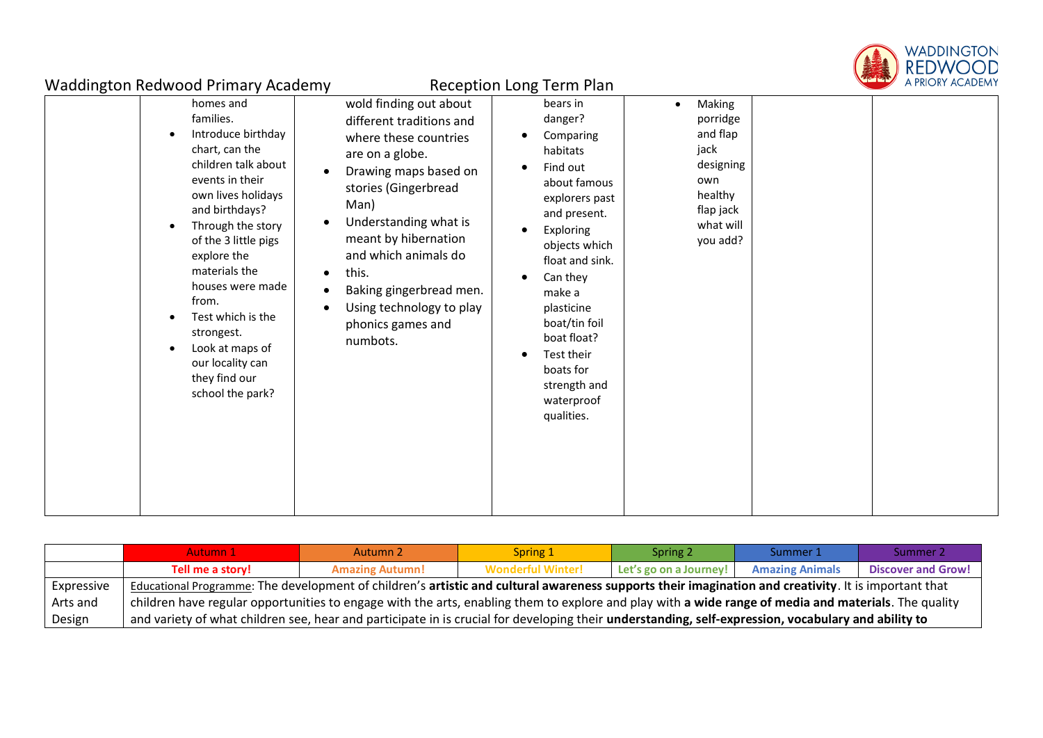

| ັ |                                                                                                                                                                                                                                                                                                                                                                           |                                                                                                                                                                                                                                                                                                                                   |                                                                                                                                                                                                                                                                                                                                               |                                                                                                                          |  |
|---|---------------------------------------------------------------------------------------------------------------------------------------------------------------------------------------------------------------------------------------------------------------------------------------------------------------------------------------------------------------------------|-----------------------------------------------------------------------------------------------------------------------------------------------------------------------------------------------------------------------------------------------------------------------------------------------------------------------------------|-----------------------------------------------------------------------------------------------------------------------------------------------------------------------------------------------------------------------------------------------------------------------------------------------------------------------------------------------|--------------------------------------------------------------------------------------------------------------------------|--|
|   | homes and<br>families.<br>Introduce birthday<br>chart, can the<br>children talk about<br>events in their<br>own lives holidays<br>and birthdays?<br>Through the story<br>of the 3 little pigs<br>explore the<br>materials the<br>houses were made<br>from.<br>Test which is the<br>strongest.<br>Look at maps of<br>our locality can<br>they find our<br>school the park? | wold finding out about<br>different traditions and<br>where these countries<br>are on a globe.<br>Drawing maps based on<br>stories (Gingerbread<br>Man)<br>Understanding what is<br>meant by hibernation<br>and which animals do<br>this.<br>Baking gingerbread men.<br>Using technology to play<br>phonics games and<br>numbots. | bears in<br>danger?<br>Comparing<br>habitats<br>Find out<br>about famous<br>explorers past<br>and present.<br>Exploring<br>$\bullet$<br>objects which<br>float and sink.<br>Can they<br>$\bullet$<br>make a<br>plasticine<br>boat/tin foil<br>boat float?<br>Test their<br>$\bullet$<br>boats for<br>strength and<br>waterproof<br>qualities. | Making<br>$\bullet$<br>porridge<br>and flap<br>jack<br>designing<br>own<br>healthy<br>flap jack<br>what will<br>you add? |  |

|            | Autumn 1                                                                                                                                             | Autumn 2               | Spring 1                 | Spring 2               | Summer 1               | Summer 2                  |  |
|------------|------------------------------------------------------------------------------------------------------------------------------------------------------|------------------------|--------------------------|------------------------|------------------------|---------------------------|--|
|            | Tell me a story!                                                                                                                                     | <b>Amazing Autumn!</b> | <b>Wonderful Winter!</b> | Let's go on a Journey! | <b>Amazing Animals</b> | <b>Discover and Grow!</b> |  |
| Expressive | Educational Programme: The development of children's artistic and cultural awareness supports their imagination and creativity. It is important that |                        |                          |                        |                        |                           |  |
| Arts and   | children have regular opportunities to engage with the arts, enabling them to explore and play with a wide range of media and materials. The quality |                        |                          |                        |                        |                           |  |
| Design     | and variety of what children see, hear and participate in is crucial for developing their understanding, self-expression, vocabulary and ability to  |                        |                          |                        |                        |                           |  |